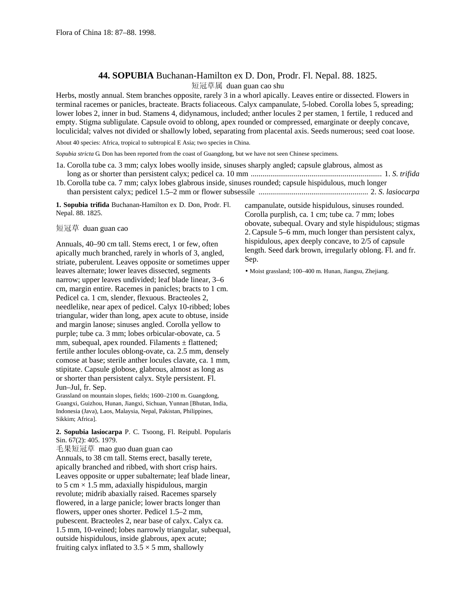## **44. SOPUBIA** Buchanan-Hamilton ex D. Don, Prodr. Fl. Nepal. 88. 1825.

短冠草属 duan guan cao shu

Herbs, mostly annual. Stem branches opposite, rarely 3 in a whorl apically. Leaves entire or dissected. Flowers in terminal racemes or panicles, bracteate. Bracts foliaceous. Calyx campanulate, 5-lobed. Corolla lobes 5, spreading; lower lobes 2, inner in bud. Stamens 4, didynamous, included; anther locules 2 per stamen, 1 fertile, 1 reduced and empty. Stigma subligulate. Capsule ovoid to oblong, apex rounded or compressed, emarginate or deeply concave, loculicidal; valves not divided or shallowly lobed, separating from placental axis. Seeds numerous; seed coat loose.

About 40 species: Africa, tropical to subtropical E Asia; two species in China.

*Sopubia stricta* G. Don has been reported from the coast of Guangdong, but we have not seen Chinese specimens.

- 1a. Corolla tube ca. 3 mm; calyx lobes woolly inside, sinuses sharply angled; capsule glabrous, almost as long as or shorter than persistent calyx; pedicel ca. 10 mm ................................................................... 1. *S*. *trifida*
- 1b. Corolla tube ca. 7 mm; calyx lobes glabrous inside, sinuses rounded; capsule hispidulous, much longer than persistent calyx; pedicel 1.5–2 mm or flower subsessile ........................................................ 2. *S*. *lasiocarpa*

**1. Sopubia trifida** Buchanan-Hamilton ex D. Don, Prodr. Fl. Nepal. 88. 1825.

短冠草 duan guan cao

Annuals, 40–90 cm tall. Stems erect, 1 or few, often apically much branched, rarely in whorls of 3, angled, striate, puberulent. Leaves opposite or sometimes upper leaves alternate; lower leaves dissected, segments narrow; upper leaves undivided; leaf blade linear, 3–6 cm, margin entire. Racemes in panicles; bracts to 1 cm. Pedicel ca. 1 cm, slender, flexuous. Bracteoles 2, needlelike, near apex of pedicel. Calyx 10-ribbed; lobes triangular, wider than long, apex acute to obtuse, inside and margin lanose; sinuses angled. Corolla yellow to purple; tube ca. 3 mm; lobes orbicular-obovate, ca. 5 mm, subequal, apex rounded. Filaments  $\pm$  flattened; fertile anther locules oblong-ovate, ca. 2.5 mm, densely comose at base; sterile anther locules clavate, ca. 1 mm, stipitate. Capsule globose, glabrous, almost as long as or shorter than persistent calyx. Style persistent. Fl. Jun–Jul, fr. Sep.

Grassland on mountain slopes, fields; 1600–2100 m. Guangdong, Guangxi, Guizhou, Hunan, Jiangxi, Sichuan, Yunnan [Bhutan, India, Indonesia (Java), Laos, Malaysia, Nepal, Pakistan, Philippines, Sikkim; Africa].

**2. Sopubia lasiocarpa** P. C. Tsoong, Fl. Reipubl. Popularis Sin. 67(2): 405. 1979.

毛果短冠草 mao guo duan guan cao Annuals, to 38 cm tall. Stems erect, basally terete, apically branched and ribbed, with short crisp hairs. Leaves opposite or upper subalternate; leaf blade linear, to 5 cm  $\times$  1.5 mm, adaxially hispidulous, margin revolute; midrib abaxially raised. Racemes sparsely flowered, in a large panicle; lower bracts longer than flowers, upper ones shorter. Pedicel 1.5–2 mm, pubescent. Bracteoles 2, near base of calyx. Calyx ca. 1.5 mm, 10-veined; lobes narrowly triangular, subequal, outside hispidulous, inside glabrous, apex acute; fruiting calyx inflated to  $3.5 \times 5$  mm, shallowly

campanulate, outside hispidulous, sinuses rounded. Corolla purplish, ca. 1 cm; tube ca. 7 mm; lobes obovate, subequal. Ovary and style hispidulous; stigmas 2.Capsule 5–6 mm, much longer than persistent calyx, hispidulous, apex deeply concave, to 2/5 of capsule length. Seed dark brown, irregularly oblong. Fl. and fr. Sep.

• Moist grassland; 100–400 m. Hunan, Jiangsu, Zhejiang.